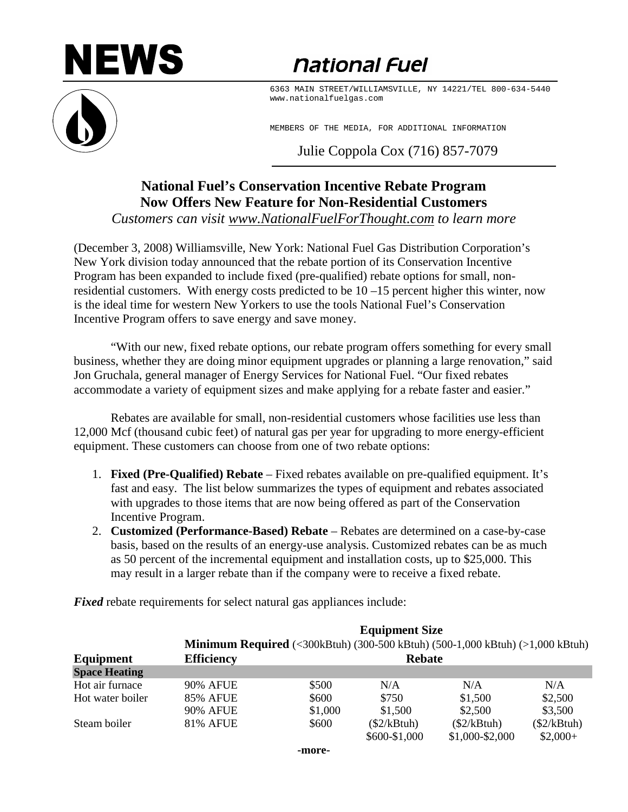## NEWS



*<u>national Fuel</u>* 

6363 MAIN STREET/WILLIAMSVILLE, NY 14221/TEL 800-634-5440 www.nationalfuelgas.com

MEMBERS OF THE MEDIA, FOR ADDITIONAL INFORMATION

Julie Coppola Cox (716) 857-7079

## **National Fuel's Conservation Incentive Rebate Program Now Offers New Feature for Non-Residential Customers**

*Customers can visit www.NationalFuelForThought.com to learn more*

(December 3, 2008) Williamsville, New York: National Fuel Gas Distribution Corporation's New York division today announced that the rebate portion of its Conservation Incentive Program has been expanded to include fixed (pre-qualified) rebate options for small, nonresidential customers. With energy costs predicted to be 10 –15 percent higher this winter, now is the ideal time for western New Yorkers to use the tools National Fuel's Conservation Incentive Program offers to save energy and save money.

"With our new, fixed rebate options, our rebate program offers something for every small business, whether they are doing minor equipment upgrades or planning a large renovation," said Jon Gruchala, general manager of Energy Services for National Fuel. "Our fixed rebates accommodate a variety of equipment sizes and make applying for a rebate faster and easier."

Rebates are available for small, non-residential customers whose facilities use less than 12,000 Mcf (thousand cubic feet) of natural gas per year for upgrading to more energy-efficient equipment. These customers can choose from one of two rebate options:

- 1. **Fixed (Pre-Qualified) Rebate** Fixed rebates available on pre-qualified equipment. It's fast and easy. The list below summarizes the types of equipment and rebates associated with upgrades to those items that are now being offered as part of the Conservation Incentive Program.
- 2. **Customized (Performance-Based) Rebate** Rebates are determined on a case-by-case basis, based on the results of an energy-use analysis. Customized rebates can be as much as 50 percent of the incremental equipment and installation costs, up to \$25,000. This may result in a larger rebate than if the company were to receive a fixed rebate.

 **Equipment Size Minimum Required** (<300kBtuh) (300-500 kBtuh) (500-1,000 kBtuh) (>1,000 kBtuh) **Equipment** Efficiency Rebate **Space Heating** Hot air furnace a 90% AFUE  $$500$  N/A N/A N/A N/A Hot water boiler 85% AFUE \$600 \$750 \$1,500 \$2,500 90% AFUE \$1,000 \$1,500 \$2,500 \$3,500 Steam boiler 81% AFUE \$600 (\$2/kBtuh) (\$2/kBtuh) (\$2/kBtuh)  $$600-$1,000$   $$1,000-$2,000$   $$2,000+$ 

*Fixed* rebate requirements for select natural gas appliances include: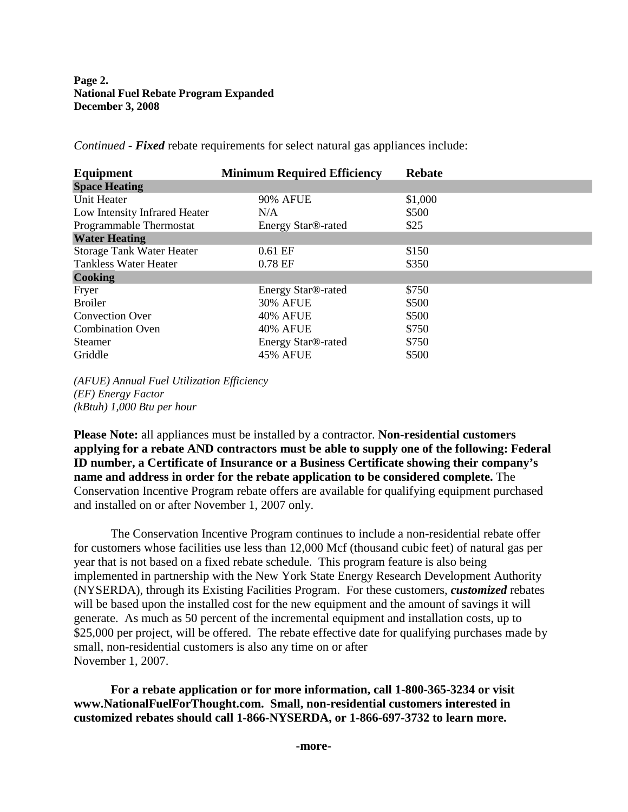| Equipment                        | <b>Minimum Required Efficiency</b> | <b>Rebate</b> |
|----------------------------------|------------------------------------|---------------|
| <b>Space Heating</b>             |                                    |               |
| Unit Heater                      | <b>90% AFUE</b>                    | \$1,000       |
| Low Intensity Infrared Heater    | N/A                                | \$500         |
| Programmable Thermostat          | Energy Star <sup>®</sup> -rated    | \$25          |
| <b>Water Heating</b>             |                                    |               |
| <b>Storage Tank Water Heater</b> | $0.61$ EF                          | \$150         |
| Tankless Water Heater            | $0.78$ EF                          | \$350         |
| <b>Cooking</b>                   |                                    |               |
| Fryer                            | Energy Star <sup>®</sup> -rated    | \$750         |
| <b>Broiler</b>                   | 30% AFUE                           | \$500         |
| <b>Convection Over</b>           | <b>40% AFUE</b>                    | \$500         |
| <b>Combination Oven</b>          | 40% AFUE                           | \$750         |
| <b>Steamer</b>                   | Energy Star <sup>®</sup> -rated    | \$750         |
| Griddle                          | <b>45% AFUE</b>                    | \$500         |

*Continued - Fixed* rebate requirements for select natural gas appliances include:

*(AFUE) Annual Fuel Utilization Efficiency (EF) Energy Factor (kBtuh) 1,000 Btu per hour*

**Please Note:** all appliances must be installed by a contractor. **Non-residential customers applying for a rebate AND contractors must be able to supply one of the following: Federal ID number, a Certificate of Insurance or a Business Certificate showing their company's name and address in order for the rebate application to be considered complete.** The Conservation Incentive Program rebate offers are available for qualifying equipment purchased and installed on or after November 1, 2007 only.

The Conservation Incentive Program continues to include a non-residential rebate offer for customers whose facilities use less than 12,000 Mcf (thousand cubic feet) of natural gas per year that is not based on a fixed rebate schedule. This program feature is also being implemented in partnership with the New York State Energy Research Development Authority (NYSERDA), through its Existing Facilities Program. For these customers, *customized* rebates will be based upon the installed cost for the new equipment and the amount of savings it will generate. As much as 50 percent of the incremental equipment and installation costs, up to \$25,000 per project, will be offered. The rebate effective date for qualifying purchases made by small, non-residential customers is also any time on or after November 1, 2007.

**For a rebate application or for more information, call 1-800-365-3234 or visit www.NationalFuelForThought.com. Small, non-residential customers interested in customized rebates should call 1-866-NYSERDA, or 1-866-697-3732 to learn more.**